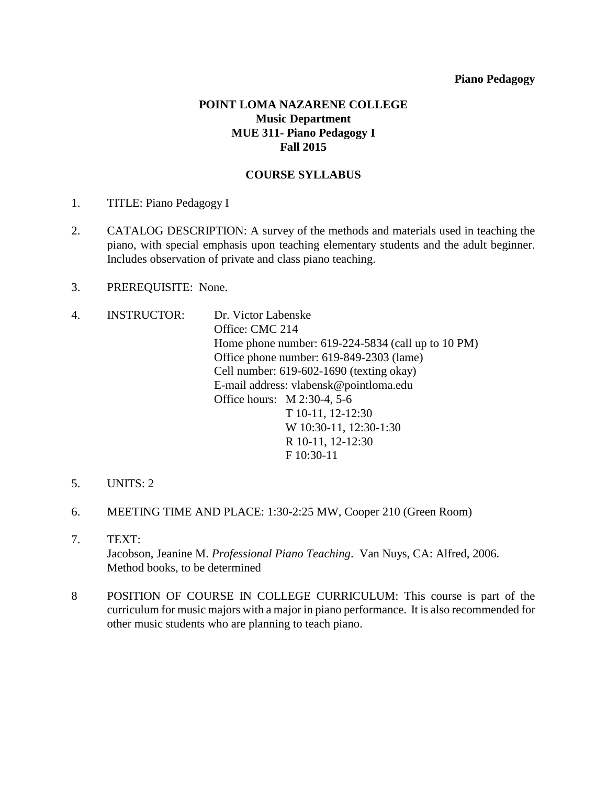## **POINT LOMA NAZARENE COLLEGE Music Department MUE 311- Piano Pedagogy I Fall 2015**

#### **COURSE SYLLABUS**

- 1. TITLE: Piano Pedagogy I
- 2. CATALOG DESCRIPTION: A survey of the methods and materials used in teaching the piano, with special emphasis upon teaching elementary students and the adult beginner. Includes observation of private and class piano teaching.
- 3. PREREQUISITE: None.
- 4. INSTRUCTOR: Dr. Victor Labenske Office: CMC 214 Home phone number: 619-224-5834 (call up to 10 PM) Office phone number: 619-849-2303 (lame) Cell number: 619-602-1690 (texting okay) E-mail address: vlabensk@pointloma.edu Office hours: M 2:30-4, 5-6 T 10-11, 12-12:30 W 10:30-11, 12:30-1:30 R 10-11, 12-12:30 F 10:30-11
- 5. UNITS: 2
- 6. MEETING TIME AND PLACE: 1:30-2:25 MW, Cooper 210 (Green Room)
- 7. TEXT: Jacobson, Jeanine M. *Professional Piano Teaching*. Van Nuys, CA: Alfred, 2006. Method books, to be determined
- 8 POSITION OF COURSE IN COLLEGE CURRICULUM: This course is part of the curriculum for music majors with a major in piano performance. It is also recommended for other music students who are planning to teach piano.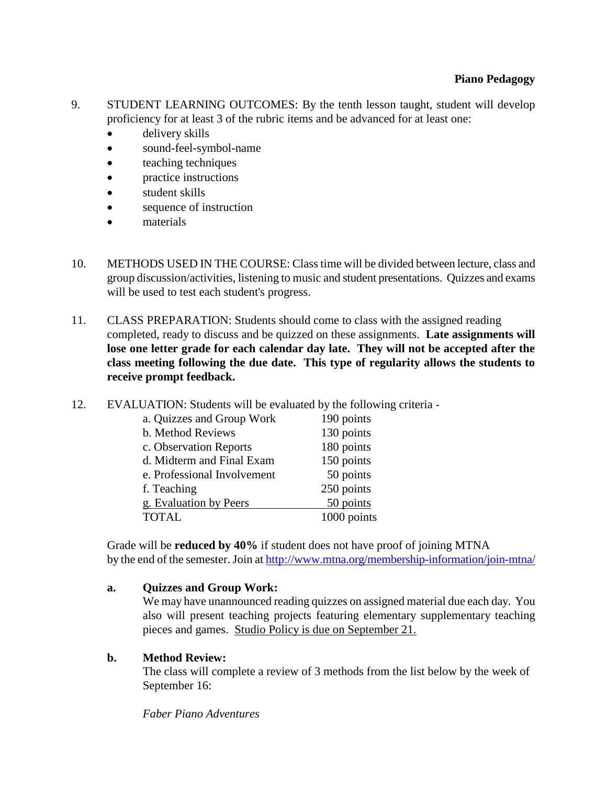- 9. STUDENT LEARNING OUTCOMES: By the tenth lesson taught, student will develop proficiency for at least 3 of the rubric items and be advanced for at least one:
	- delivery skills
	- sound-feel-symbol-name
	- teaching techniques
	- practice instructions
	- student skills
	- sequence of instruction
	- materials
- 10. METHODS USED IN THE COURSE: Class time will be divided between lecture, class and group discussion/activities, listening to music and student presentations. Quizzes and exams will be used to test each student's progress.
- 11. CLASS PREPARATION: Students should come to class with the assigned reading completed, ready to discuss and be quizzed on these assignments. **Late assignments will lose one letter grade for each calendar day late. They will not be accepted after the class meeting following the due date. This type of regularity allows the students to receive prompt feedback.**
- 12. EVALUATION: Students will be evaluated by the following criteria -

| a. Quizzes and Group Work   | 190 points  |
|-----------------------------|-------------|
| b. Method Reviews           | 130 points  |
| c. Observation Reports      | 180 points  |
| d. Midterm and Final Exam   | 150 points  |
| e. Professional Involvement | 50 points   |
| f. Teaching                 | 250 points  |
| g. Evaluation by Peers      | 50 points   |
| <b>TOTAL</b>                | 1000 points |

Grade will be **reduced by 40%** if student does not have proof of joining MTNA by the end of the semester. Join at <http://www.mtna.org/membership-information/join-mtna/>

## **a. Quizzes and Group Work:**

We may have unannounced reading quizzes on assigned material due each day. You also will present teaching projects featuring elementary supplementary teaching pieces and games. Studio Policy is due on September 21.

## **b. Method Review:**

The class will complete a review of 3 methods from the list below by the week of September 16:

*Faber Piano Adventures*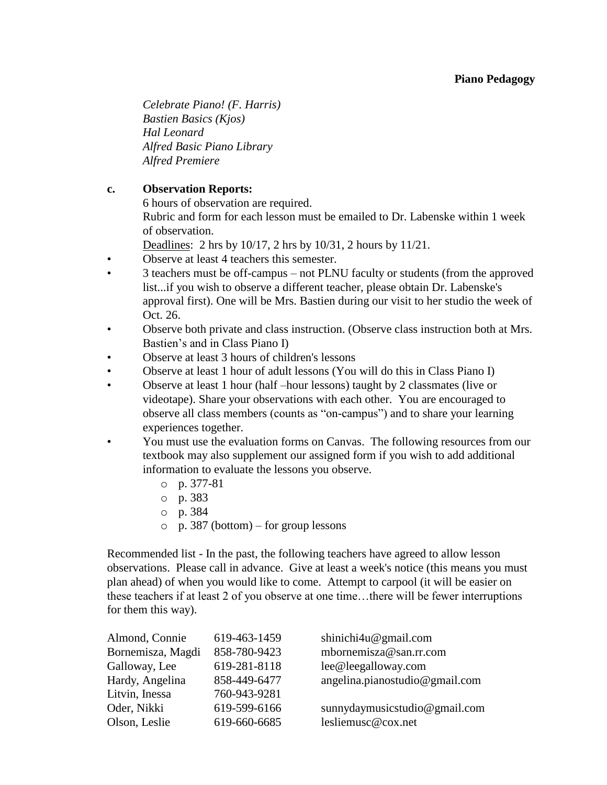*Celebrate Piano! (F. Harris) Bastien Basics (Kjos) Hal Leonard Alfred Basic Piano Library Alfred Premiere*

## **c. Observation Reports:**

6 hours of observation are required.

Rubric and form for each lesson must be emailed to Dr. Labenske within 1 week of observation.

Deadlines: 2 hrs by 10/17, 2 hrs by 10/31, 2 hours by 11/21.

- Observe at least 4 teachers this semester.
- 3 teachers must be off-campus not PLNU faculty or students (from the approved list...if you wish to observe a different teacher, please obtain Dr. Labenske's approval first). One will be Mrs. Bastien during our visit to her studio the week of Oct. 26.
- Observe both private and class instruction. (Observe class instruction both at Mrs. Bastien's and in Class Piano I)
- Observe at least 3 hours of children's lessons
- Observe at least 1 hour of adult lessons (You will do this in Class Piano I)
- Observe at least 1 hour (half –hour lessons) taught by 2 classmates (live or videotape). Share your observations with each other. You are encouraged to observe all class members (counts as "on-campus") and to share your learning experiences together.
- You must use the evaluation forms on Canvas. The following resources from our textbook may also supplement our assigned form if you wish to add additional information to evaluate the lessons you observe.
	- o p. 377-81
	- o p. 383
	- o p. 384
	- o p. 387 (bottom) for group lessons

Recommended list - In the past, the following teachers have agreed to allow lesson observations. Please call in advance. Give at least a week's notice (this means you must plan ahead) of when you would like to come. Attempt to carpool (it will be easier on these teachers if at least 2 of you observe at one time…there will be fewer interruptions for them this way).

| Almond, Connie    | 619-463-1459 | shinichi4u@gmail.com           |
|-------------------|--------------|--------------------------------|
| Bornemisza, Magdi | 858-780-9423 | mbornemisza@san.rr.com         |
| Galloway, Lee     | 619-281-8118 | lee@leegalloway.com            |
| Hardy, Angelina   | 858-449-6477 | angelina.pianostudio@gmail.com |
| Litvin, Inessa    | 760-943-9281 |                                |
| Oder, Nikki       | 619-599-6166 | sunnydaymusicstudio@gmail.com  |
| Olson, Leslie     | 619-660-6685 | lesliemusc@cox.net             |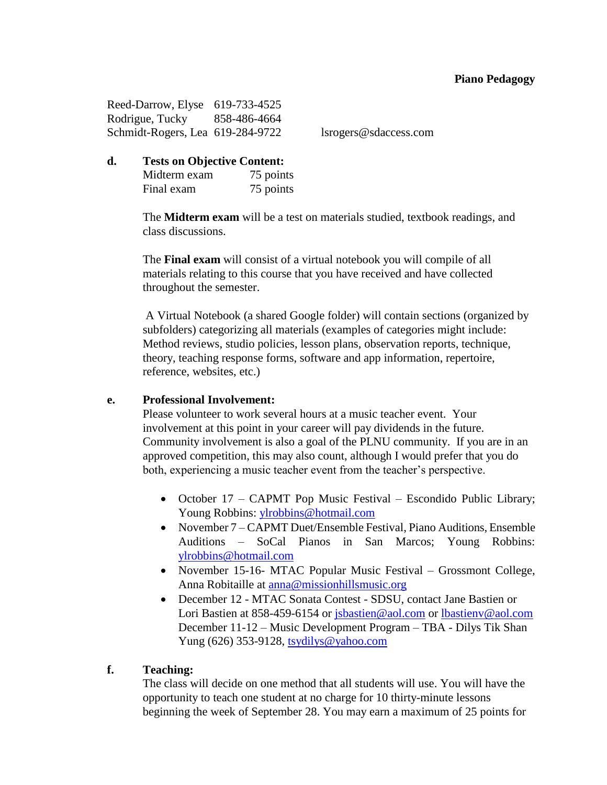Reed-Darrow, Elyse 619-733-4525 Rodrigue, Tucky 858-486-4664 Schmidt-Rogers, Lea 619-284-9722 lsrogers@sdaccess.com

**d. Tests on Objective Content:** Midterm exam 75 points Final exam 75 points

> The **Midterm exam** will be a test on materials studied, textbook readings, and class discussions.

The **Final exam** will consist of a virtual notebook you will compile of all materials relating to this course that you have received and have collected throughout the semester.

A Virtual Notebook (a shared Google folder) will contain sections (organized by subfolders) categorizing all materials (examples of categories might include: Method reviews, studio policies, lesson plans, observation reports, technique, theory, teaching response forms, software and app information, repertoire, reference, websites, etc.)

#### **e. Professional Involvement:**

Please volunteer to work several hours at a music teacher event. Your involvement at this point in your career will pay dividends in the future. Community involvement is also a goal of the PLNU community. If you are in an approved competition, this may also count, although I would prefer that you do both, experiencing a music teacher event from the teacher's perspective.

- October 17 CAPMT Pop Music Festival Escondido Public Library; Young Robbins: [ylrobbins@hotmail.com](mailto:ylrobbins@hotmail.com)
- November 7 CAPMT Duet/Ensemble Festival, Piano Auditions, Ensemble Auditions – SoCal Pianos in San Marcos; Young Robbins: [ylrobbins@hotmail.com](mailto:ylrobbins@hotmail.com)
- November 15-16- MTAC Popular Music Festival Grossmont College, Anna Robitaille at [anna@missionhillsmusic.org](mailto:anna@missionhillsmusic.org)
- December 12 MTAC Sonata Contest SDSU, contact Jane Bastien or Lori Bastien at 858-459-6154 or [jsbastien@aol.com](file:///C:/Users/bnortham/Downloads/jsbastien@aol.com) or [lbastienv@aol.com](mailto:lbastienv@aol.com) December 11-12 – Music Development Program – TBA - Dilys Tik Shan Yung (626) 353-9128, [tsydilys@yahoo.com](mailto:tsydilys@yahoo.com)

## **f. Teaching:**

The class will decide on one method that all students will use. You will have the opportunity to teach one student at no charge for 10 thirty-minute lessons beginning the week of September 28. You may earn a maximum of 25 points for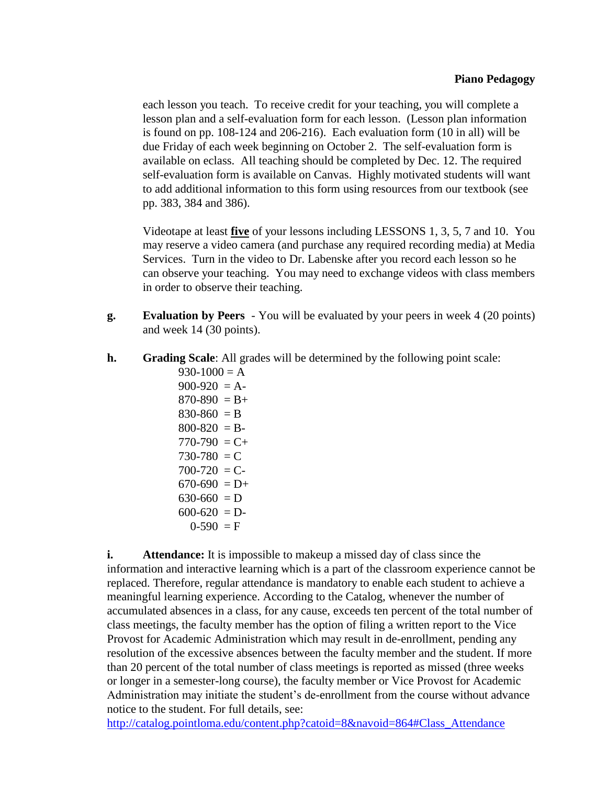each lesson you teach. To receive credit for your teaching, you will complete a lesson plan and a self-evaluation form for each lesson. (Lesson plan information is found on pp. 108-124 and 206-216). Each evaluation form (10 in all) will be due Friday of each week beginning on October 2. The self-evaluation form is available on eclass. All teaching should be completed by Dec. 12. The required self-evaluation form is available on Canvas. Highly motivated students will want to add additional information to this form using resources from our textbook (see pp. 383, 384 and 386).

Videotape at least **five** of your lessons including LESSONS 1, 3, 5, 7 and 10. You may reserve a video camera (and purchase any required recording media) at Media Services. Turn in the video to Dr. Labenske after you record each lesson so he can observe your teaching. You may need to exchange videos with class members in order to observe their teaching.

- **g. Evaluation by Peers** *-* You will be evaluated by your peers in week 4 (20 points) and week 14 (30 points).
- **h. Grading Scale**: All grades will be determined by the following point scale:

 $930-1000 = A$  $900-920 = A$  $870-890 = B +$  $830-860 = B$  $800 - 820 = B$  $770-790 = C +$  $730-780 = C$  $700-720 = C$  $670-690 = D+$  $630-660 = D$  $600-620 = D$  $0-590 = F$ 

**i. Attendance:** It is impossible to makeup a missed day of class since the information and interactive learning which is a part of the classroom experience cannot be replaced. Therefore, regular attendance is mandatory to enable each student to achieve a meaningful learning experience. According to the Catalog, whenever the number of accumulated absences in a class, for any cause, exceeds ten percent of the total number of class meetings, the faculty member has the option of filing a written report to the Vice Provost for Academic Administration which may result in de-enrollment, pending any resolution of the excessive absences between the faculty member and the student. If more than 20 percent of the total number of class meetings is reported as missed (three weeks or longer in a semester-long course), the faculty member or Vice Provost for Academic Administration may initiate the student's de-enrollment from the course without advance notice to the student. For full details, see:

[http://catalog.pointloma.edu/content.php?catoid=8&navoid=864#Class\\_Attendance](http://catalog.pointloma.edu/content.php?catoid=8&navoid=864%23Class_Attendance)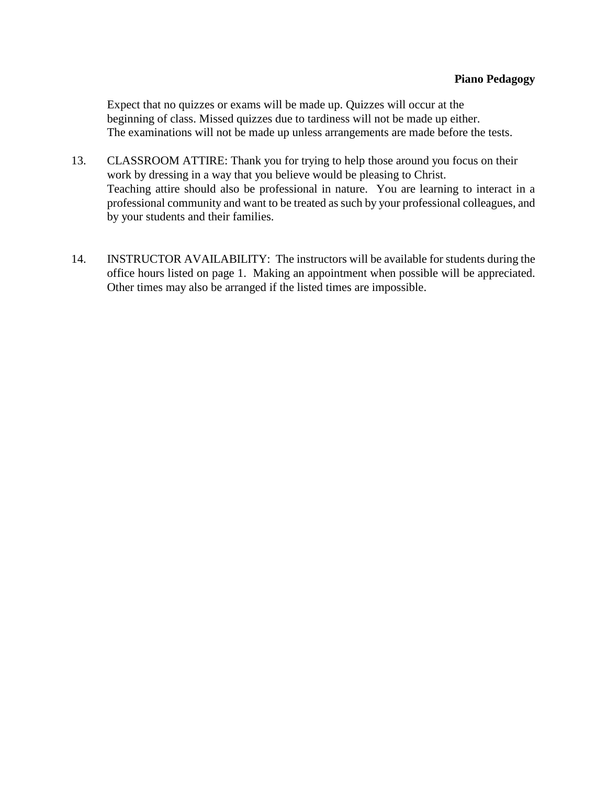Expect that no quizzes or exams will be made up. Quizzes will occur at the beginning of class. Missed quizzes due to tardiness will not be made up either. The examinations will not be made up unless arrangements are made before the tests.

- 13. CLASSROOM ATTIRE: Thank you for trying to help those around you focus on their work by dressing in a way that you believe would be pleasing to Christ. Teaching attire should also be professional in nature. You are learning to interact in a professional community and want to be treated as such by your professional colleagues, and by your students and their families.
- 14. INSTRUCTOR AVAILABILITY: The instructors will be available for students during the office hours listed on page 1. Making an appointment when possible will be appreciated. Other times may also be arranged if the listed times are impossible.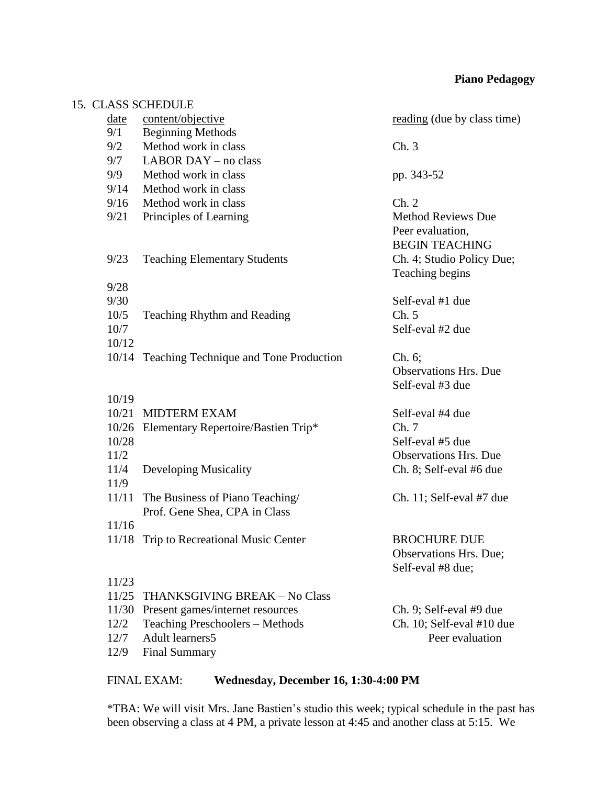| CLASS SCHEDULE                         |                                                                                                                                                                                                                                                     |
|----------------------------------------|-----------------------------------------------------------------------------------------------------------------------------------------------------------------------------------------------------------------------------------------------------|
| content/objective                      | reading (due by class time)                                                                                                                                                                                                                         |
| <b>Beginning Methods</b>               |                                                                                                                                                                                                                                                     |
| Method work in class                   | Ch.3                                                                                                                                                                                                                                                |
| LABOR DAY - no class                   |                                                                                                                                                                                                                                                     |
| Method work in class                   | pp. 343-52                                                                                                                                                                                                                                          |
| Method work in class                   |                                                                                                                                                                                                                                                     |
| Method work in class                   | Ch. 2                                                                                                                                                                                                                                               |
| Principles of Learning                 | <b>Method Reviews Due</b><br>Peer evaluation,<br><b>BEGIN TEACHING</b>                                                                                                                                                                              |
|                                        | Ch. 4; Studio Policy Due;<br>Teaching begins                                                                                                                                                                                                        |
|                                        |                                                                                                                                                                                                                                                     |
|                                        | Self-eval #1 due                                                                                                                                                                                                                                    |
|                                        | Ch. 5                                                                                                                                                                                                                                               |
|                                        | Self-eval #2 due                                                                                                                                                                                                                                    |
|                                        |                                                                                                                                                                                                                                                     |
|                                        | Ch. 6;<br><b>Observations Hrs. Due</b>                                                                                                                                                                                                              |
|                                        | Self-eval #3 due                                                                                                                                                                                                                                    |
|                                        |                                                                                                                                                                                                                                                     |
|                                        | Self-eval #4 due                                                                                                                                                                                                                                    |
| 10/26                                  | Ch.7                                                                                                                                                                                                                                                |
|                                        | Self-eval #5 due                                                                                                                                                                                                                                    |
|                                        | <b>Observations Hrs. Due</b>                                                                                                                                                                                                                        |
|                                        | Ch. 8; Self-eval #6 due                                                                                                                                                                                                                             |
|                                        |                                                                                                                                                                                                                                                     |
| 11/11<br>Prof. Gene Shea, CPA in Class | Ch. 11; Self-eval $#7$ due                                                                                                                                                                                                                          |
|                                        |                                                                                                                                                                                                                                                     |
| Trip to Recreational Music Center      | <b>BROCHURE DUE</b><br>Observations Hrs. Due;<br>Self-eval #8 due;                                                                                                                                                                                  |
|                                        |                                                                                                                                                                                                                                                     |
| 11/25<br>THANKSGIVING BREAK - No Class |                                                                                                                                                                                                                                                     |
| Present games/internet resources       | Ch. 9; Self-eval #9 due                                                                                                                                                                                                                             |
| Teaching Preschoolers - Methods        | Ch. 10; Self-eval #10 due                                                                                                                                                                                                                           |
| Adult learners5                        | Peer evaluation                                                                                                                                                                                                                                     |
| <b>Final Summary</b>                   |                                                                                                                                                                                                                                                     |
|                                        | <b>Teaching Elementary Students</b><br><b>Teaching Rhythm and Reading</b><br>10/14 Teaching Technique and Tone Production<br><b>MIDTERM EXAM</b><br>Elementary Repertoire/Bastien Trip*<br>Developing Musicality<br>The Business of Piano Teaching/ |

 $15.$ 

## FINAL EXAM: **Wednesday, December 16, 1:30-4:00 PM**

\*TBA: We will visit Mrs. Jane Bastien's studio this week; typical schedule in the past has been observing a class at 4 PM, a private lesson at 4:45 and another class at 5:15. We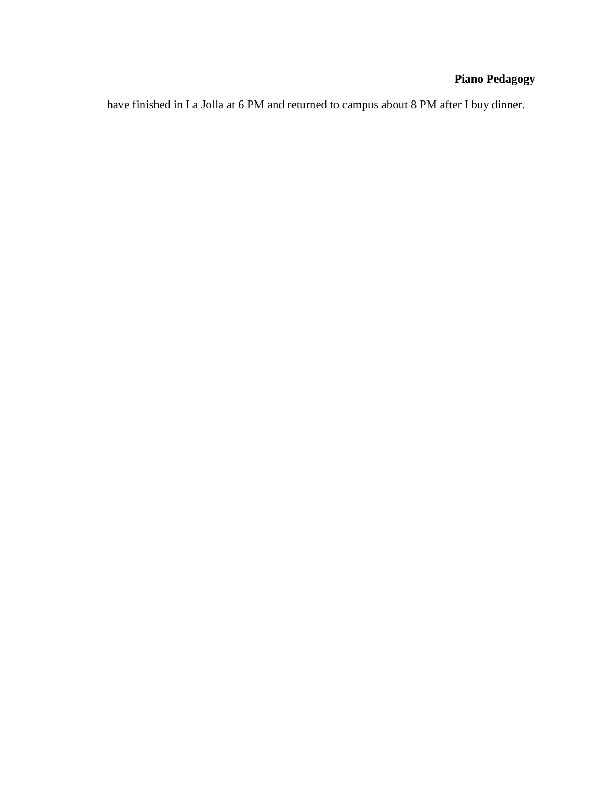have finished in La Jolla at 6 PM and returned to campus about 8 PM after I buy dinner.